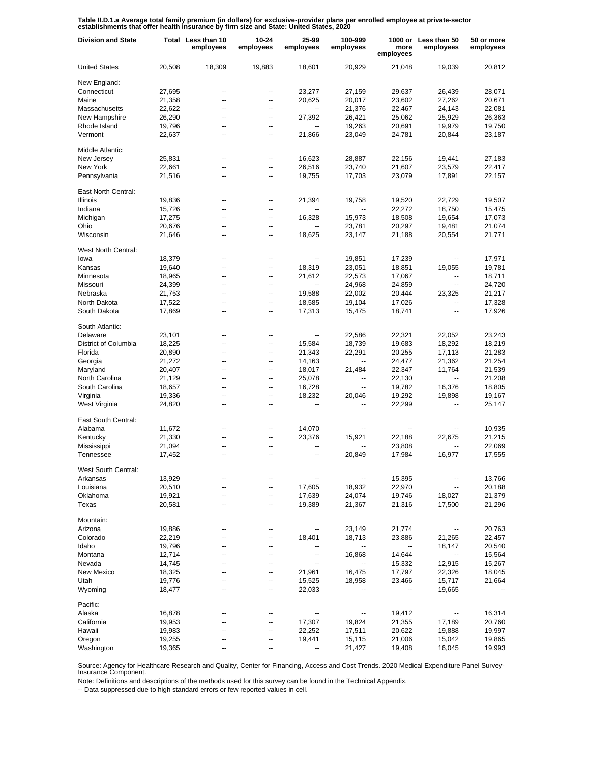Table II.D.1.a Average total family premium (in dollars) for exclusive-provider plans per enrolled employee at private-sector<br>establishments that offer health insurance by firm size and State: United States, 2020

| <b>Division and State</b> |        | Total Less than 10<br>employees | 10-24<br>employees | 25-99<br>employees       | 100-999<br>employees     | more<br>employees | 1000 or Less than 50<br>employees | 50 or more<br>employees |
|---------------------------|--------|---------------------------------|--------------------|--------------------------|--------------------------|-------------------|-----------------------------------|-------------------------|
| <b>United States</b>      | 20,508 | 18,309                          | 19,883             | 18,601                   | 20,929                   | 21,048            | 19,039                            | 20,812                  |
| New England:              |        |                                 |                    |                          |                          |                   |                                   |                         |
| Connecticut               | 27,695 | --                              | --                 | 23,277                   | 27,159                   | 29,637            | 26,439                            | 28,071                  |
| Maine                     | 21,358 | --                              | ⊷                  | 20,625                   | 20,017                   | 23,602            | 27,262                            | 20,671                  |
| Massachusetts             | 22,622 | --                              | --                 | $\overline{\phantom{a}}$ | 21,376                   | 22,467            | 24,143                            | 22,081                  |
| New Hampshire             | 26,290 | --                              | --                 | 27,392                   | 26,421                   | 25,062            | 25,929                            | 26,363                  |
| Rhode Island              | 19,796 | --                              | $\overline{a}$     | $\overline{a}$           | 19,263                   | 20,691            | 19,979                            | 19,750                  |
| Vermont                   | 22,637 | --                              | --                 | 21,866                   | 23,049                   | 24,781            | 20,844                            | 23,187                  |
| Middle Atlantic:          |        |                                 |                    |                          |                          |                   |                                   |                         |
| New Jersey                | 25,831 |                                 | $\overline{a}$     | 16,623                   | 28,887                   | 22,156            | 19,441                            | 27,183                  |
| New York                  | 22,661 | $\overline{\phantom{a}}$        | --                 | 26,516                   | 23,740                   | 21,607            | 23,579                            | 22,417                  |
| Pennsylvania              | 21,516 | --                              | $\overline{a}$     | 19,755                   | 17,703                   | 23,079            | 17,891                            | 22,157                  |
| East North Central:       |        |                                 |                    |                          |                          |                   |                                   |                         |
| Illinois                  | 19,836 | --                              | --                 | 21,394                   | 19,758                   | 19,520            | 22,729                            | 19,507                  |
| Indiana                   | 15,726 | --                              | --                 |                          | $\overline{\phantom{a}}$ | 22,272            | 18,750                            | 15,475                  |
| Michigan                  | 17,275 | --                              | --                 | 16,328                   | 15,973                   | 18,508            | 19,654                            | 17,073                  |
| Ohio                      | 20,676 | --                              | --                 |                          | 23,781                   | 20,297            | 19,481                            | 21,074                  |
| Wisconsin                 | 21,646 |                                 | ۰.                 | 18,625                   | 23,147                   | 21,188            | 20,554                            | 21,771                  |
| West North Central:       |        |                                 |                    |                          |                          |                   |                                   |                         |
| lowa                      | 18,379 | --                              | --                 |                          | 19,851                   | 17,239            | --                                | 17,971                  |
| Kansas                    | 19,640 | --                              | --                 | 18,319                   | 23,051                   | 18,851            | 19,055                            | 19,781                  |
| Minnesota                 | 18,965 | --                              | --                 | 21,612                   | 22,573                   |                   | --                                | 18,711                  |
|                           |        |                                 |                    |                          |                          | 17,067            |                                   |                         |
| Missouri                  | 24,399 | --                              | --                 | $\overline{\phantom{a}}$ | 24,968                   | 24,859            | $\overline{\phantom{a}}$          | 24,720                  |
| Nebraska                  | 21,753 | --                              | $\overline{a}$     | 19,588                   | 22,002                   | 20,444            | 23,325                            | 21,217                  |
| North Dakota              | 17,522 | --                              | --                 | 18,585                   | 19,104                   | 17,026            | --                                | 17,328                  |
| South Dakota              | 17,869 | --                              | --                 | 17,313                   | 15,475                   | 18,741            | --                                | 17,926                  |
| South Atlantic:           |        |                                 |                    |                          |                          |                   |                                   |                         |
| Delaware                  | 23,101 | --                              | --                 | $\overline{\phantom{a}}$ | 22,586                   | 22,321            | 22,052                            | 23,243                  |
| District of Columbia      | 18,225 | --                              | --                 | 15,584                   | 18,739                   | 19,683            | 18,292                            | 18,219                  |
| Florida                   | 20,890 | --                              | --                 | 21,343                   | 22,291                   | 20,255            | 17,113                            | 21,283                  |
| Georgia                   | 21,272 | --                              | $\overline{a}$     | 14,163                   | $\overline{\phantom{a}}$ | 24,477            | 21,362                            | 21,254                  |
| Maryland                  | 20,407 | --                              | --                 | 18,017                   | 21,484                   | 22,347            | 11,764                            | 21,539                  |
| North Carolina            | 21,129 | --                              | $\overline{a}$     | 25,078                   | $\overline{a}$           | 22,130            | --                                | 21,208                  |
| South Carolina            | 18,657 | --                              | $\overline{a}$     | 16,728                   | $\overline{\phantom{a}}$ | 19,782            | 16,376                            | 18,805                  |
| Virginia                  | 19,336 | --                              | $\overline{a}$     | 18,232                   | 20,046                   | 19,292            | 19,898                            | 19,167                  |
| West Virginia             | 24,820 | --                              | --                 | --                       |                          | 22,299            |                                   | 25,147                  |
|                           |        |                                 |                    |                          |                          |                   |                                   |                         |
| East South Central:       |        |                                 |                    |                          |                          |                   |                                   |                         |
| Alabama                   | 11,672 | --                              | --                 | 14,070                   |                          |                   |                                   | 10,935                  |
| Kentucky                  | 21,330 |                                 | --                 | 23,376                   | 15,921                   | 22,188            | 22,675                            | 21,215                  |
| Mississippi               | 21,094 | --                              | --                 |                          |                          | 23,808            |                                   | 22,069                  |
| Tennessee                 | 17,452 |                                 | $\overline{a}$     | $\overline{\phantom{a}}$ | 20,849                   | 17,984            | 16,977                            | 17,555                  |
| West South Central:       |        |                                 |                    |                          |                          |                   |                                   |                         |
| Arkansas                  | 13,929 |                                 |                    |                          |                          | 15,395            |                                   | 13,766                  |
| Louisiana                 | 20,510 | Ξ.                              |                    | 17,605                   | 18,932                   | 22,970            |                                   | 20,188                  |
| Oklahoma                  | 19,921 | --                              | --                 | 17,639                   | 24,074                   | 19,746            | 18,027                            | 21,379                  |
| Texas                     | 20,581 | --                              | --                 | 19,389                   | 21,367                   | 21,316            | 17,500                            | 21,296                  |
| Mountain:                 |        |                                 |                    |                          |                          |                   |                                   |                         |
| Arizona                   | 19,886 |                                 |                    |                          | 23,149                   | 21,774            | --                                | 20,763                  |
| Colorado                  | 22,219 |                                 |                    | 18,401                   | 18,713                   | 23,886            | 21,265                            | 22,457                  |
| Idaho                     | 19,796 |                                 | --                 |                          |                          |                   | 18,147                            | 20,540                  |
| Montana                   | 12,714 |                                 |                    | --                       | 16,868                   | 14,644            | ۰.                                | 15,564                  |
| Nevada                    | 14,745 |                                 |                    | $\overline{\phantom{a}}$ |                          | 15,332            | 12,915                            | 15,267                  |
| New Mexico                | 18,325 |                                 |                    | 21,961                   | 16,475                   | 17,797            | 22,326                            | 18,045                  |
| Utah                      | 19,776 |                                 | --                 | 15,525                   | 18,958                   | 23,466            | 15,717                            | 21,664                  |
| Wyoming                   | 18,477 | --                              | --                 | 22,033                   |                          |                   | 19,665                            |                         |
| Pacific:                  |        |                                 |                    |                          |                          |                   |                                   |                         |
| Alaska                    | 16,878 |                                 |                    |                          |                          | 19,412            |                                   | 16,314                  |
| California                | 19,953 |                                 | --                 | 17,307                   | 19,824                   | 21,355            | 17,189                            | 20,760                  |
| Hawaii                    | 19,983 | --                              | --                 | 22,252                   | 17,511                   | 20,622            | 19,888                            | 19,997                  |
| Oregon                    | 19,255 |                                 | --                 | 19,441                   | 15,115                   | 21,006            | 15,042                            | 19,865                  |
| Washington                | 19,365 | ۰.                              | --                 | --                       | 21,427                   | 19,408            | 16,045                            | 19,993                  |
|                           |        |                                 |                    |                          |                          |                   |                                   |                         |

Source: Agency for Healthcare Research and Quality, Center for Financing, Access and Cost Trends. 2020 Medical Expenditure Panel Survey-Insurance Component.

Note: Definitions and descriptions of the methods used for this survey can be found in the Technical Appendix.

-- Data suppressed due to high standard errors or few reported values in cell.